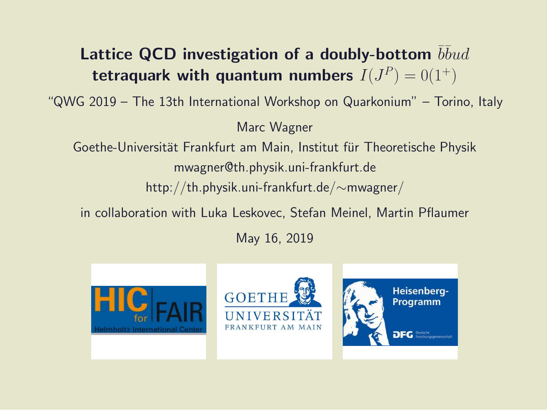#### Lattice QCD investigation of a doubly-bottom  $b\bar b u d$ tetraquark with quantum numbers  $I(J^P)=0(1^+)$

"QWG 2019 – The 13th International Workshop on Quarkonium" – Torino, Italy

Marc Wagner

Goethe-Universität Frankfurt am Main, Institut für Theoretische Physik mwagner@th.physik.uni-frankfurt.de http://th.physik.uni-frankfurt.de/∼mwagner/

in collaboration with Luka Leskovec, Stefan Meinel, Martin Pflaumer

May 16, 2019





Heisenberg-**Programm DFG** Beutsche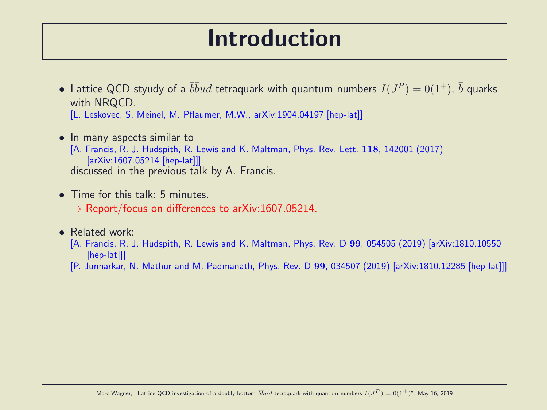## Introduction

- $\bullet\,$  Lattice QCD styudy of a  $\bar b\bar b ud$  tetraquark with quantum numbers  $I(J^P)=0(1^+),\,\bar b$  quarks with NRQCD. [L. Leskovec, S. Meinel, M. Pflaumer, M.W., arXiv:1904.04197 [hep-lat]]
- In many aspects similar to [A. Francis, R. J. Hudspith, R. Lewis and K. Maltman, Phys. Rev. Lett. 118, 142001 (2017) [arXiv:1607.05214 [hep-lat]]] discussed in the previous talk by A. Francis.
- Time for this talk: 5 minutes  $\rightarrow$  Report/focus on differences to arXiv:1607.05214.

#### • Related work:

- [A. Francis, R. J. Hudspith, R. Lewis and K. Maltman, Phys. Rev. D 99, 054505 (2019) [arXiv:1810.10550 [hep-lat]]
- [P. Junnarkar, N. Mathur and M. Padmanath, Phys. Rev. D 99, 034507 (2019) [arXiv:1810.12285 [hep-lat]]]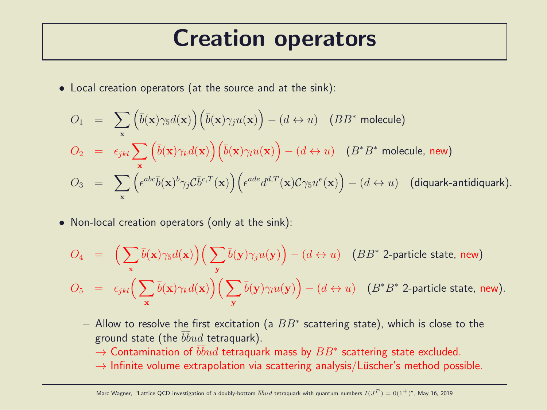### Creation operators

• Local creation operators (at the source and at the sink):

$$
O_1 = \sum_{\mathbf{x}} \left( \bar{b}(\mathbf{x}) \gamma_5 d(\mathbf{x}) \right) \left( \bar{b}(\mathbf{x}) \gamma_j u(\mathbf{x}) \right) - (d \leftrightarrow u) \quad (BB^* \text{ molecule})
$$
  
\n
$$
O_2 = \epsilon_{jkl} \sum_{\mathbf{x}} \left( \bar{b}(\mathbf{x}) \gamma_k d(\mathbf{x}) \right) \left( \bar{b}(\mathbf{x}) \gamma_l u(\mathbf{x}) \right) - (d \leftrightarrow u) \quad (B^* B^* \text{ molecule, new})
$$
  
\n
$$
O_3 = \sum_{\mathbf{x}} \left( \epsilon^{abc} \bar{b}(\mathbf{x})^b \gamma_j C \bar{b}^{c,T}(\mathbf{x}) \right) \left( \epsilon^{ade} d^{d,T}(\mathbf{x}) C \gamma_5 u^e(\mathbf{x}) \right) - (d \leftrightarrow u) \quad \text{(diquark-antidiquark).}
$$

• Non-local creation operators (only at the sink):

$$
O_4 = \left(\sum_{\mathbf{x}} \bar{b}(\mathbf{x}) \gamma_5 d(\mathbf{x})\right) \left(\sum_{\mathbf{y}} \bar{b}(\mathbf{y}) \gamma_j u(\mathbf{y})\right) - (d \leftrightarrow u) \quad (BB^* \text{ 2-particle state, new})
$$
  
\n
$$
O_5 = \epsilon_{jkl} \left(\sum_{\mathbf{x}} \bar{b}(\mathbf{x}) \gamma_k d(\mathbf{x})\right) \left(\sum_{\mathbf{y}} \bar{b}(\mathbf{y}) \gamma_l u(\mathbf{y})\right) - (d \leftrightarrow u) \quad (B^* B^* \text{ 2-particle state, new}).
$$

- $-$  Allow to resolve the first excitation (a  $BB^*$  scattering state), which is close to the ground state (the  $\bar b\bar b ud$  tetraquark).
	- $\rightarrow$  Contamination of  $\bar b\bar b ud$  tetraquark mass by  $BB^*$  scattering state excluded.
	- $\rightarrow$  Infinite volume extrapolation via scattering analysis/Lüscher's method possible.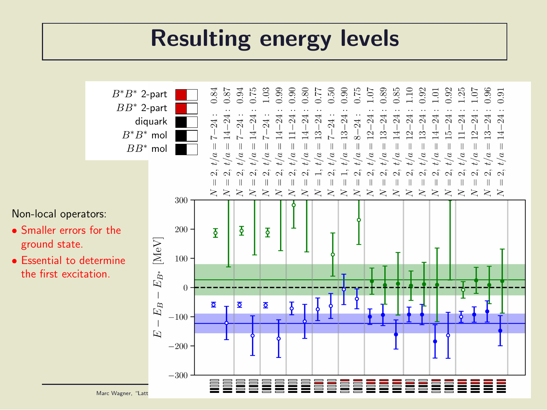# Resulting energy levels

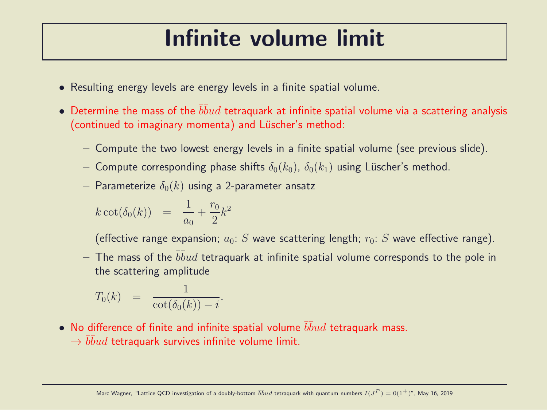# Infinite volume limit

- Resulting energy levels are energy levels in a finite spatial volume.
- $\bullet$  Determine the mass of the  $\overline{b} \overline{b} u d$  tetraquark at infinite spatial volume via a scattering analysis (continued to imaginary momenta) and Lüscher's method:
	- Compute the two lowest energy levels in a finite spatial volume (see previous slide).
	- Compute corresponding phase shifts  $\delta_0(k_0)$ ,  $\delta_0(k_1)$  using Lüscher's method.
	- Parameterize  $\delta_0(k)$  using a 2-parameter ansatz

$$
k \cot(\delta_0(k)) = \frac{1}{a_0} + \frac{r_0}{2}k^2
$$

(effective range expansion;  $a_0: S$  wave scattering length;  $r_0: S$  wave effective range).

 $-$  The mass of the  $\bar b\bar b ud$  tetraquark at infinite spatial volume corresponds to the pole in the scattering amplitude

$$
T_0(k) = \frac{1}{\cot(\delta_0(k)) - i}.
$$

- $\bullet~$  No difference of finite and infinite spatial volume  $\bar b\bar b ud$  tetraquark mass.
	- $\rightarrow \bar b \bar b u d$  tetraquark survives infinite volume limit.